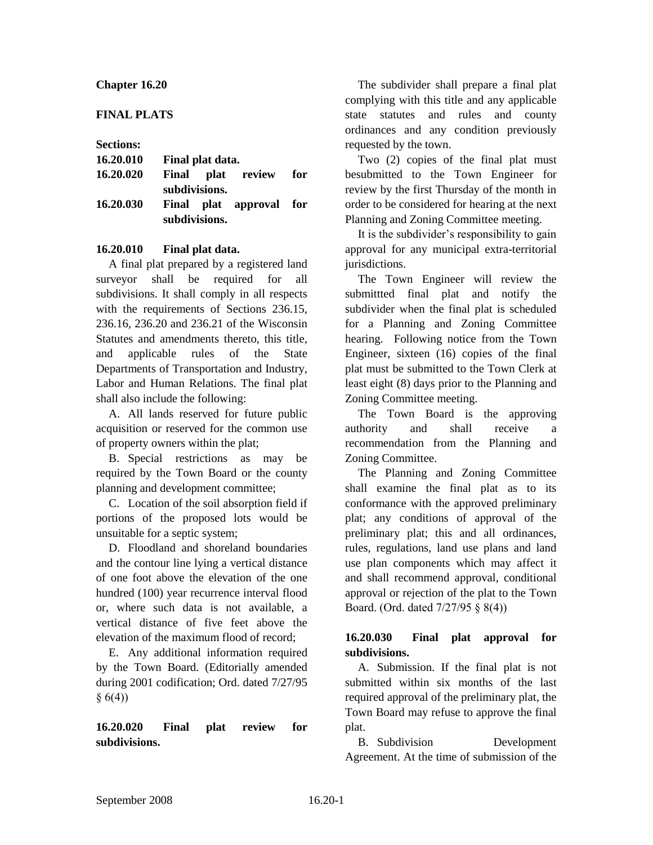## **Chapter 16.20**

## **FINAL PLATS**

### **Sections:**

| 16.20.010 | Final plat data. |               |                         |  |
|-----------|------------------|---------------|-------------------------|--|
| 16.20.020 |                  |               | Final plat review for   |  |
|           |                  | subdivisions. |                         |  |
| 16.20.030 |                  |               | Final plat approval for |  |
|           | subdivisions.    |               |                         |  |

### **16.20.010 Final plat data.**

A final plat prepared by a registered land surveyor shall be required for all subdivisions. It shall comply in all respects with the requirements of Sections 236.15, 236.16, 236.20 and 236.21 of the Wisconsin Statutes and amendments thereto, this title, and applicable rules of the State Departments of Transportation and Industry, Labor and Human Relations. The final plat shall also include the following:

A. All lands reserved for future public acquisition or reserved for the common use of property owners within the plat;

B. Special restrictions as may be required by the Town Board or the county planning and development committee;

C. Location of the soil absorption field if portions of the proposed lots would be unsuitable for a septic system;

D. Floodland and shoreland boundaries and the contour line lying a vertical distance of one foot above the elevation of the one hundred (100) year recurrence interval flood or, where such data is not available, a vertical distance of five feet above the elevation of the maximum flood of record;

E. Any additional information required by the Town Board. (Editorially amended during 2001 codification; Ord. dated 7/27/95  $§ 6(4))$ 

**16.20.020 Final plat review for subdivisions.**

The subdivider shall prepare a final plat complying with this title and any applicable state statutes and rules and county ordinances and any condition previously requested by the town.

Two (2) copies of the final plat must besubmitted to the Town Engineer for review by the first Thursday of the month in order to be considered for hearing at the next Planning and Zoning Committee meeting.

It is the subdivider's responsibility to gain approval for any municipal extra-territorial jurisdictions.

The Town Engineer will review the submittted final plat and notify the subdivider when the final plat is scheduled for a Planning and Zoning Committee hearing. Following notice from the Town Engineer, sixteen (16) copies of the final plat must be submitted to the Town Clerk at least eight (8) days prior to the Planning and Zoning Committee meeting.

The Town Board is the approving authority and shall receive a recommendation from the Planning and Zoning Committee.

The Planning and Zoning Committee shall examine the final plat as to its conformance with the approved preliminary plat; any conditions of approval of the preliminary plat; this and all ordinances, rules, regulations, land use plans and land use plan components which may affect it and shall recommend approval, conditional approval or rejection of the plat to the Town Board. (Ord. dated 7/27/95 § 8(4))

# **16.20.030 Final plat approval for subdivisions.**

A. Submission. If the final plat is not submitted within six months of the last required approval of the preliminary plat, the Town Board may refuse to approve the final plat.

B. Subdivision Development Agreement. At the time of submission of the